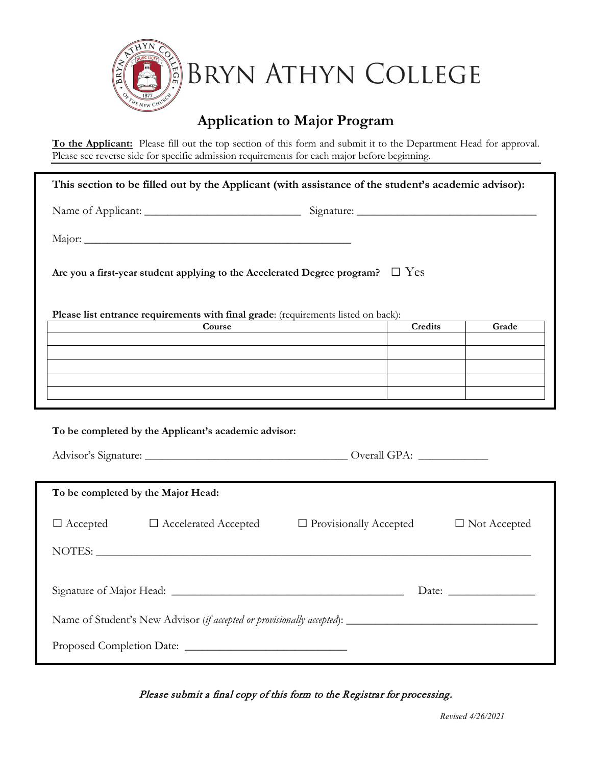

# **Application to Major Program**

**To the Applicant:** Please fill out the top section of this form and submit it to the Department Head for approval. Please see reverse side for specific admission requirements for each major before beginning.

| This section to be filled out by the Applicant (with assistance of the student's academic advisor): |        |  |         |                     |  |
|-----------------------------------------------------------------------------------------------------|--------|--|---------|---------------------|--|
|                                                                                                     |        |  |         |                     |  |
|                                                                                                     |        |  |         |                     |  |
| Are you a first-year student applying to the Accelerated Degree program? $\square$ Yes              |        |  |         |                     |  |
| Please list entrance requirements with final grade: (requirements listed on back):                  |        |  |         |                     |  |
|                                                                                                     | Course |  | Credits | Grade               |  |
|                                                                                                     |        |  |         |                     |  |
|                                                                                                     |        |  |         |                     |  |
|                                                                                                     |        |  |         |                     |  |
| To be completed by the Applicant's academic advisor:                                                |        |  |         |                     |  |
|                                                                                                     |        |  |         |                     |  |
|                                                                                                     |        |  |         |                     |  |
| To be completed by the Major Head:                                                                  |        |  |         |                     |  |
| $\Box$ Accepted $\Box$ Accelerated Accepted<br>$\Box$ Provisionally Accepted                        |        |  |         | $\Box$ Not Accepted |  |
| NOTES: LETTERS AND THE SECOND PROPERTY OF THE SECOND PROPERTY OF THE SECOND PROPERTY.               |        |  |         |                     |  |
|                                                                                                     |        |  |         |                     |  |
|                                                                                                     |        |  |         |                     |  |
|                                                                                                     |        |  |         |                     |  |
|                                                                                                     |        |  |         |                     |  |

Please submit a final copy of this form to the Registrar for processing.